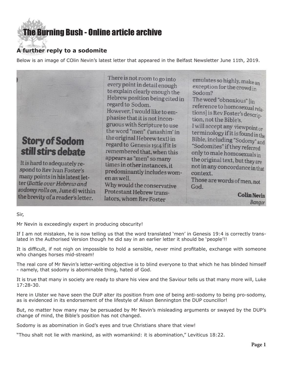## [The Burning Bush - Online article archive](http://www.ivanfoster.net)

## **A further reply to a sodomite**

Below is an image of COlin Nevin's latest letter that appeared in the Belfast Newsletter June 11th, 2019.



Sir,

Mr Nevin is exceedingly expert in producing obscurity!

If I am not mistaken, he is now telling us that the word translated 'men' in Genesis 19:4 is correctly translated in the Authorised Version though he did say in an earlier letter it should be 'people'!!

It is difficult, if not nigh on impossible to hold a sensible, never mind profitable, exchange with someone who changes horses mid-stream!

The real core of Mr Nevin's letter-writing objective is to blind everyone to that which he has blinded himself - namely, that sodomy is abominable thing, hated of God.

It is true that many in society are ready to share his view and the Saviour tells us that many more will, Luke 17:28-30.

Here in Ulster we have seen the DUP alter its position from one of being anti-sodomy to being pro-sodomy, as is evidenced in its endorsement of the lifestyle of Alison Bennington the DUP councillor!

But, no matter how many may be persuaded by Mr Nevin's misleading arguments or swayed by the DUP's change of mind, the Bible's position has not changed.

Sodomy is as abomination in God's eyes and true Christians share that view!

"Thou shalt not lie with mankind, as with womankind: it is abomination," Leviticus 18:22.